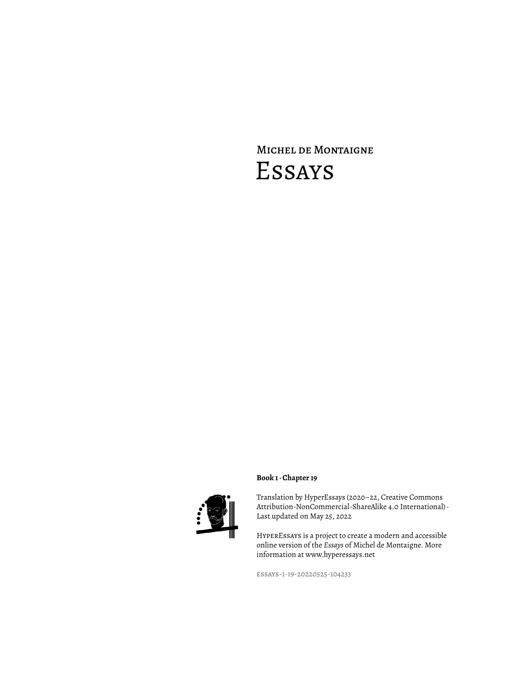# Michel de Montaigne Essays



## **Book 1 · Chapter 19**

Translation by HyperEssays (2020–22, Creative Commons Attribution-NonCommercial-ShareAlike 4.0 International) · Last updated on May 25, 2022

HyperEssays is a project to create a modern and accessible online version of the *Essays* of Michel de Montaigne. More information at www.hyperessays.net

essays-1-19-20220525-104233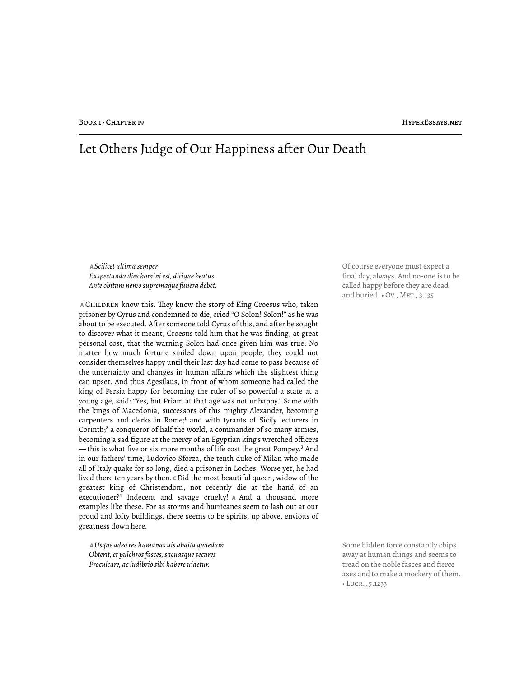## Let Others Judge of Our Happiness after Our Death

 **A** *Scilicet ultima semper Exspectanda dies homini est, dicique beatus Ante obitum nemo supremaque funera debet.*

 **A** Children know this. "ey know the story of King Croesus who, taken prisoner by Cyrus and condemned to die, cried "O Solon! Solon!" as he was about to be executed. After someone told Cyrus of this, and after he sought to discover what it meant, Croesus told him that he was finding, at great personal cost, that the warning Solon had once given him was true: No matter how much fortune smiled down upon people, they could not consider themselves happy until their last day had come to pass because of the uncertainty and changes in human affairs which the slightest thing can upset. And thus Agesilaus, in front of whom someone had called the king of Persia happy for becoming the ruler of so powerful a state at a young age, said: "Yes, but Priam at that age was not unhappy." Same with the kings of Macedonia, successors of this mighty Alexander, becoming carpenters and clerks in Rome;<sup>1</sup> and with tyrants of Sicily lecturers in Corinth;<sup>2</sup> a conqueror of half the world, a commander of so many armies, becoming a sad figure at the mercy of an Egyptian king's wretched officers — this is what five or six more months of life cost the great Pompey.<sup>3</sup> And in our fathers' time, Ludovico Sforza, the tenth duke of Milan who made all of Italy quake for so long, died a prisoner in Loches. Worse yet, he had lived there ten years by then. **C** Did the most beautiful queen, widow of the greatest king of Christendom, not recently die at the hand of an executioner?⁴ Indecent and savage cruelty! **A** And a thousand more examples like these. For as storms and hurricanes seem to lash out at our proud and lofty buildings, there seems to be spirits, up above, envious of greatness down here.

 **A** *Usque adeo res humanas uis abdita quaedam Obterit, et pulchros fasces, saeuasque secures Proculcare, ac ludibrio sibi habere uidetur.*

Of course everyone must expect a final day, always. And no-one is to be called happy before they are dead and buried. . Ov., MET., 3.135

Some hidden force constantly chips away at human things and seems to tread on the noble fasces and fierce axes and to make a mockery of them. • Lucr., 5.1233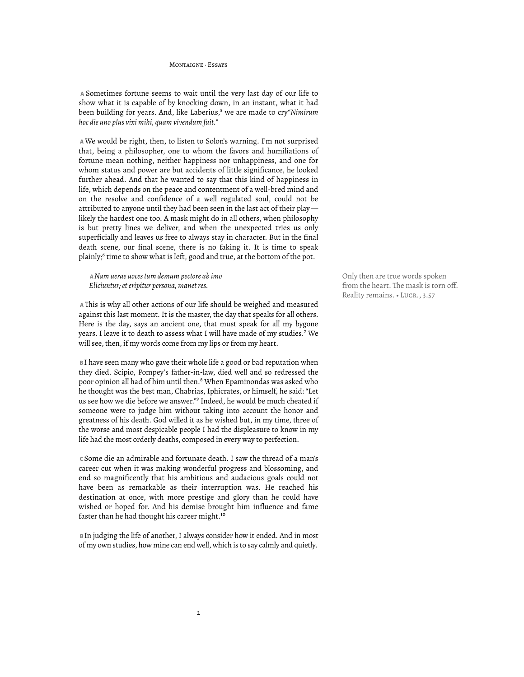MONTAIGNE · FESAVE

 **A** Sometimes fortune seems to wait until the very last day of our life to show what it is capable of by knocking down, in an instant, what it had been building for years. And, like Laberius,<sup>5</sup> we are made to cry"Nimirum *hoc die uno plus vixi mihi, quam vivendum fuit."*

 **A** We would be right, then, to listen to Solon's warning. I'm not surprised that, being a philosopher, one to whom the favors and humiliations of fortune mean nothing, neither happiness nor unhappiness, and one for whom status and power are but accidents of little significance, he looked further ahead. And that he wanted to say that this kind of happiness in life, which depends on the peace and contentment of a well-bred mind and on the resolve and confidence of a well regulated soul, could not be attributed to anyone until they had been seen in the last act of their play likely the hardest one too. A mask might do in all others, when philosophy is but pretty lines we deliver, and when the unexpected tries us only superficially and leaves us free to always stay in character. But in the final death scene, our final scene, there is no faking it. It is time to speak plainly;<sup>6</sup> time to show what is left, good and true, at the bottom of the pot.

 **A** *Nam uerae uoces tum demum pectore ab imo Eliciuntur; et eripitur persona, manet res.*

 **A** "is is why all other actions of our life should be weighed and measured against this last moment. It is the master, the day that speaks for all others. Here is the day, says an ancient one, that must speak for all my bygone years. I leave it to death to assess what I will have made of my studies.<sup>7</sup> We will see, then, if my words come from my lips or from my heart.

 **B** I have seen many who gave their whole life a good or bad reputation when they died. Scipio, Pompey's father-in-law, died well and so redressed the poor opinion all had of him until then.<sup>8</sup> When Epaminondas was asked who he thought was the best man, Chabrias, Iphicrates, or himself, he said: "Let us see how we die before we answer."<sup>9</sup> Indeed, he would be much cheated if someone were to judge him without taking into account the honor and greatness of his death. God willed it as he wished but, in my time, three of the worse and most despicable people I had the displeasure to know in my life had the most orderly deaths, composed in every way to perfection.

 **C** Some die an admirable and fortunate death. I saw the thread of a man's career cut when it was making wonderful progress and blossoming, and end so magnificently that his ambitious and audacious goals could not have been as remarkable as their interruption was. He reached his destination at once, with more prestige and glory than he could have wished or hoped for. And his demise brought him influence and fame faster than he had thought his career might.<sup>10</sup>

 **B** In judging the life of another, I always consider how it ended. And in most of my own studies, how mine can end well, which is to say calmly and quietly.

Only then are true words spoken from the heart. The mask is torn off. Reality remains. • Lucr., 3.57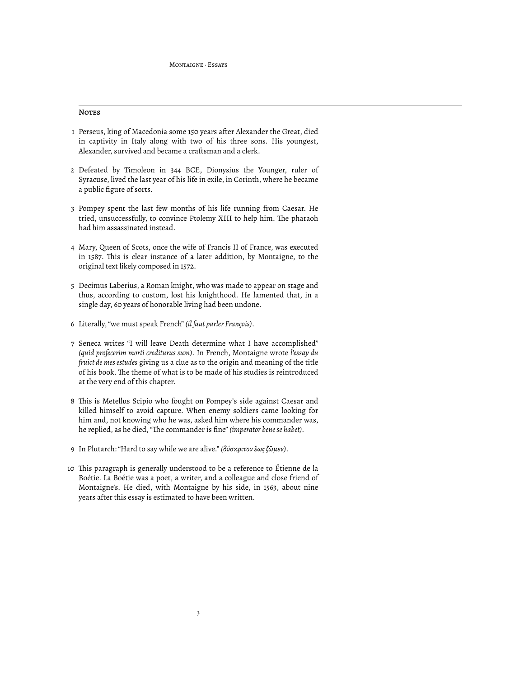### **NOTES**

- 1 Perseus, king of Macedonia some 150 years after Alexander the Great, died in captivity in Italy along with two of his three sons. His youngest, Alexander, survived and became a craftsman and a clerk.
- 2 Defeated by Timoleon in 344 BCE, Dionysius the Younger, ruler of Syracuse, lived the last year of his life in exile, in Corinth, where he became a public figure of sorts.
- 3 Pompey spent the last few months of his life running from Caesar. He tried, unsuccessfully, to convince Ptolemy XIII to help him. The pharaoh had him assassinated instead.
- 4 Mary, Queen of Scots, once the wife of Francis II of France, was executed in 1587. This is clear instance of a later addition, by Montaigne, to the original text likely composed in 1572.
- 5 Decimus Laberius, a Roman knight, who was made to appear on stage and thus, according to custom, lost his knighthood. He lamented that, in a single day, 60 years of honorable living had been undone.
- 6 Literally, "we must speak French" *(il faut parler François)*.
- 7 Seneca writes "I will leave Death determine what I have accomplished" *(quid profecerim morti crediturus sum).* In French, Montaigne wrote *l'essay du fruict de mes estudes* giving us a clue as to the origin and meaning of the title of his book. The theme of what is to be made of his studies is reintroduced at the very end of this chapter.
- 8 This is Metellus Scipio who fought on Pompey's side against Caesar and killed himself to avoid capture. When enemy soldiers came looking for him and, not knowing who he was, asked him where his commander was, he replied, as he died, "The commander is fine" *(imperator bene se habet)*.
- 9 In Plutarch: "Hard to say while we are alive." *(δύσκριτον ἕως ζῶμεν)*.
- 10 "is paragraph is generally understood to be a reference to Étienne de la Boétie. La Boétie was a poet, a writer, and a colleague and close friend of Montaigne's. He died, with Montaigne by his side, in 1563, about nine years after this essay is estimated to have been written.